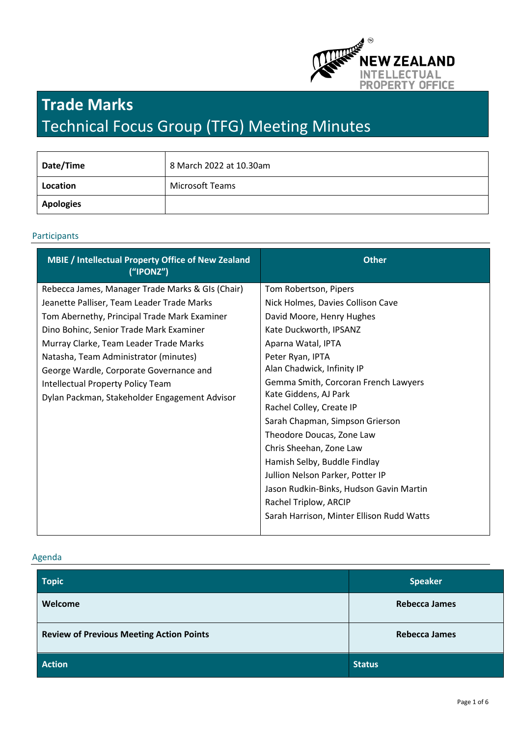

# **Trade Marks** Technical Focus Group (TFG) Meeting Minutes

| Date/Time | 8 March 2022 at 10.30am |
|-----------|-------------------------|
| Location  | Microsoft Teams         |
| Apologies |                         |

#### Participants

| MBIE / Intellectual Property Office of New Zealand<br>(''IPONZ") | <b>Other</b>                              |
|------------------------------------------------------------------|-------------------------------------------|
| Rebecca James, Manager Trade Marks & GIs (Chair)                 | Tom Robertson, Pipers                     |
| Jeanette Palliser, Team Leader Trade Marks                       | Nick Holmes, Davies Collison Cave         |
| Tom Abernethy, Principal Trade Mark Examiner                     | David Moore, Henry Hughes                 |
| Dino Bohinc, Senior Trade Mark Examiner                          | Kate Duckworth, IPSANZ                    |
| Murray Clarke, Team Leader Trade Marks                           | Aparna Watal, IPTA                        |
| Natasha, Team Administrator (minutes)                            | Peter Ryan, IPTA                          |
| George Wardle, Corporate Governance and                          | Alan Chadwick, Infinity IP                |
| Intellectual Property Policy Team                                | Gemma Smith, Corcoran French Lawyers      |
| Dylan Packman, Stakeholder Engagement Advisor                    | Kate Giddens, AJ Park                     |
|                                                                  | Rachel Colley, Create IP                  |
|                                                                  | Sarah Chapman, Simpson Grierson           |
|                                                                  | Theodore Doucas, Zone Law                 |
|                                                                  | Chris Sheehan, Zone Law                   |
|                                                                  | Hamish Selby, Buddle Findlay              |
|                                                                  | Jullion Nelson Parker, Potter IP          |
|                                                                  | Jason Rudkin-Binks, Hudson Gavin Martin   |
|                                                                  | Rachel Triplow, ARCIP                     |
|                                                                  | Sarah Harrison, Minter Ellison Rudd Watts |

## Agenda

| <b>Topic</b>                                    | <b>Speaker</b>       |
|-------------------------------------------------|----------------------|
| Welcome                                         | <b>Rebecca James</b> |
| <b>Review of Previous Meeting Action Points</b> | <b>Rebecca James</b> |
| <b>Action</b>                                   | <b>Status</b>        |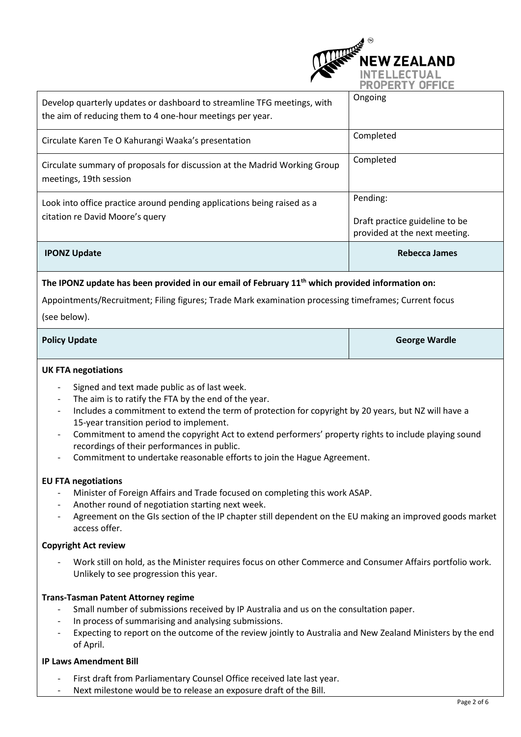

| The IPONZ update has been provided in our email of February $11th$ which provided information on:                                    |                                                                             |  |
|--------------------------------------------------------------------------------------------------------------------------------------|-----------------------------------------------------------------------------|--|
| <b>IPONZ Update</b>                                                                                                                  | <b>Rebecca James</b>                                                        |  |
| Look into office practice around pending applications being raised as a<br>citation re David Moore's query                           | Pending:<br>Draft practice guideline to be<br>provided at the next meeting. |  |
| Circulate summary of proposals for discussion at the Madrid Working Group<br>meetings, 19th session                                  | Completed                                                                   |  |
| Circulate Karen Te O Kahurangi Waaka's presentation                                                                                  | Completed                                                                   |  |
| Develop quarterly updates or dashboard to streamline TFG meetings, with<br>the aim of reducing them to 4 one-hour meetings per year. | Ongoing                                                                     |  |

Appointments/Recruitment; Filing figures; Trade Mark examination processing timeframes; Current focus

(see below).

## **Policy Update George Wardle**

## **UK FTA negotiations**

- Signed and text made public as of last week.
- The aim is to ratify the FTA by the end of the year.
- Includes a commitment to extend the term of protection for copyright by 20 years, but NZ will have a 15-year transition period to implement.
- Commitment to amend the copyright Act to extend performers' property rights to include playing sound recordings of their performances in public.
- Commitment to undertake reasonable efforts to join the Hague Agreement.

## **EU FTA negotiations**

- Minister of Foreign Affairs and Trade focused on completing this work ASAP.
- Another round of negotiation starting next week.
- Agreement on the GIs section of the IP chapter still dependent on the EU making an improved goods market access offer.

## **Copyright Act review**

- Work still on hold, as the Minister requires focus on other Commerce and Consumer Affairs portfolio work. Unlikely to see progression this year.

## **Trans-Tasman Patent Attorney regime**

- Small number of submissions received by IP Australia and us on the consultation paper.
- In process of summarising and analysing submissions.
- Expecting to report on the outcome of the review jointly to Australia and New Zealand Ministers by the end of April.

## **IP Laws Amendment Bill**

- First draft from Parliamentary Counsel Office received late last year.
- Next milestone would be to release an exposure draft of the Bill.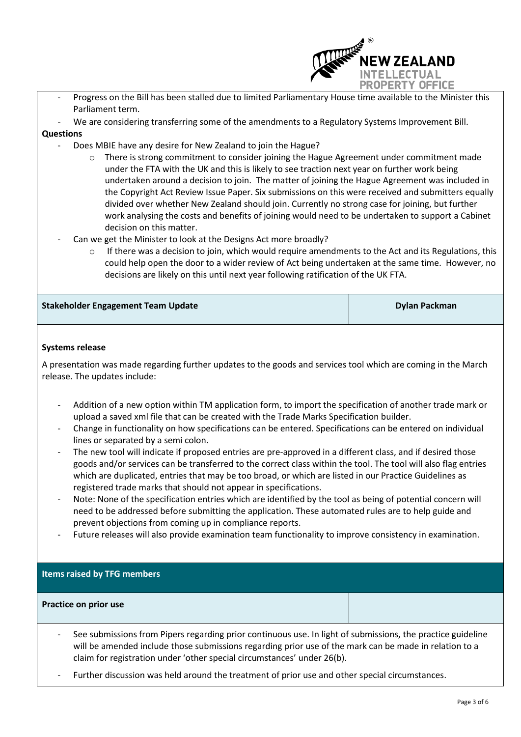

- Progress on the Bill has been stalled due to limited Parliamentary House time available to the Minister this Parliament term.
- We are considering transferring some of the amendments to a Regulatory Systems Improvement Bill.

## **Questions**

- Does MBIE have any desire for New Zealand to join the Hague?
	- o There is strong commitment to consider joining the Hague Agreement under commitment made under the FTA with the UK and this is likely to see traction next year on further work being undertaken around a decision to join. The matter of joining the Hague Agreement was included in the Copyright Act Review Issue Paper. Six submissions on this were received and submitters equally divided over whether New Zealand should join. Currently no strong case for joining, but further work analysing the costs and benefits of joining would need to be undertaken to support a Cabinet decision on this matter.
- Can we get the Minister to look at the Designs Act more broadly?
	- If there was a decision to join, which would require amendments to the Act and its Regulations, this could help open the door to a wider review of Act being undertaken at the same time. However, no decisions are likely on this until next year following ratification of the UK FTA.

| <b>Stakeholder Engagement Team Update</b> | <b>Dylan Packman</b> |
|-------------------------------------------|----------------------|
|-------------------------------------------|----------------------|

## **Systems release**

A presentation was made regarding further updates to the goods and services tool which are coming in the March release. The updates include:

- Addition of a new option within TM application form, to import the specification of another trade mark or upload a saved xml file that can be created with the Trade Marks Specification builder.
- Change in functionality on how specifications can be entered. Specifications can be entered on individual lines or separated by a semi colon.
- The new tool will indicate if proposed entries are pre-approved in a different class, and if desired those goods and/or services can be transferred to the correct class within the tool. The tool will also flag entries which are duplicated, entries that may be too broad, or which are listed in our Practice Guidelines as registered trade marks that should not appear in specifications.
- Note: None of the specification entries which are identified by the tool as being of potential concern will need to be addressed before submitting the application. These automated rules are to help guide and prevent objections from coming up in compliance reports.
- Future releases will also provide examination team functionality to improve consistency in examination.

## **Items raised by TFG members**

#### **Practice on prior use**

- See submissions from Pipers regarding prior continuous use. In light of submissions, the practice guideline will be amended include those submissions regarding prior use of the mark can be made in relation to a claim for registration under 'other special circumstances' under 26(b).
- Further discussion was held around the treatment of prior use and other special circumstances.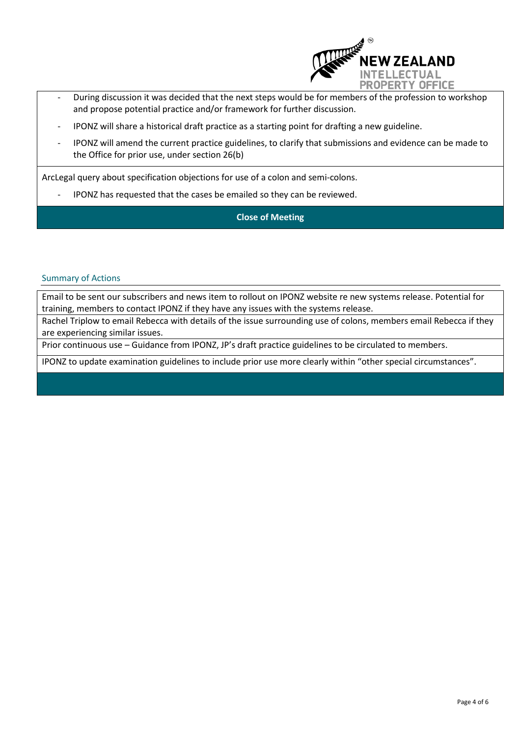

- During discussion it was decided that the next steps would be for members of the profession to workshop and propose potential practice and/or framework for further discussion.
- IPONZ will share a historical draft practice as a starting point for drafting a new guideline.
- IPONZ will amend the current practice guidelines, to clarify that submissions and evidence can be made to the Office for prior use, under section 26(b)

ArcLegal query about specification objections for use of a colon and semi-colons.

IPONZ has requested that the cases be emailed so they can be reviewed.

**Close of Meeting**

#### Summary of Actions

Email to be sent our subscribers and news item to rollout on IPONZ website re new systems release. Potential for training, members to contact IPONZ if they have any issues with the systems release.

Rachel Triplow to email Rebecca with details of the issue surrounding use of colons, members email Rebecca if they are experiencing similar issues.

Prior continuous use – Guidance from IPONZ, JP's draft practice guidelines to be circulated to members.

IPONZ to update examination guidelines to include prior use more clearly within "other special circumstances".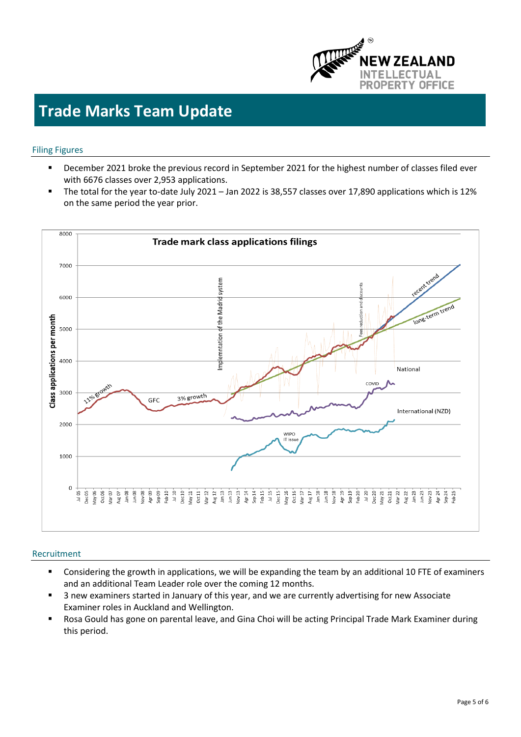

## **Trade Marks Team Update**

#### Filing Figures

- December 2021 broke the previous record in September 2021 for the highest number of classes filed ever with 6676 classes over 2,953 applications.
- The total for the year to-date July 2021 Jan 2022 is 38,557 classes over 17,890 applications which is 12% on the same period the year prior.



#### Recruitment

- Considering the growth in applications, we will be expanding the team by an additional 10 FTE of examiners and an additional Team Leader role over the coming 12 months.
- 3 new examiners started in January of this year, and we are currently advertising for new Associate Examiner roles in Auckland and Wellington.
- Rosa Gould has gone on parental leave, and Gina Choi will be acting Principal Trade Mark Examiner during this period.